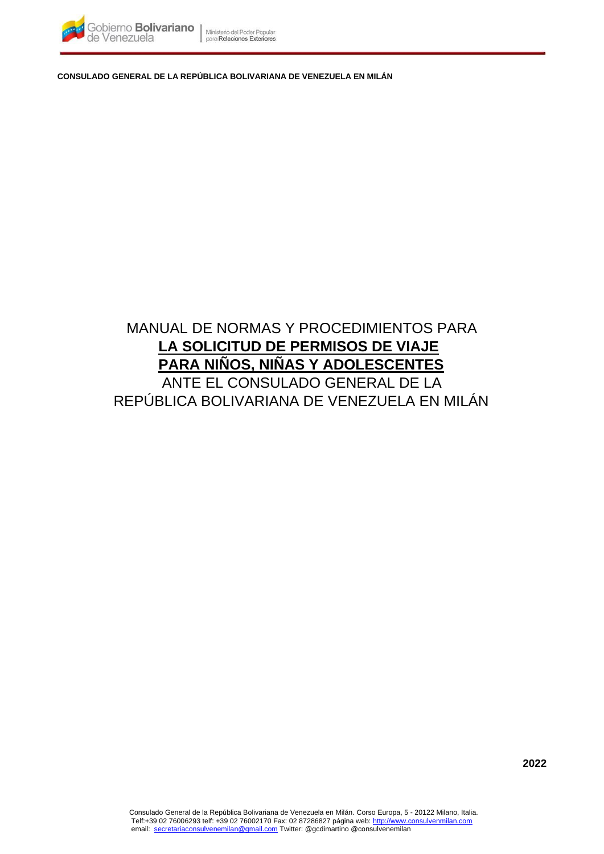

**CONSULADO GENERAL DE LA REPÚBLICA BOLIVARIANA DE VENEZUELA EN MILÁN** 

# MANUAL DE NORMAS Y PROCEDIMIENTOS PARA **LA SOLICITUD DE PERMISOS DE VIAJE PARA NIÑOS, NIÑAS Y ADOLESCENTES** ANTE EL CONSULADO GENERAL DE LA REPÚBLICA BOLIVARIANA DE VENEZUELA EN MILÁN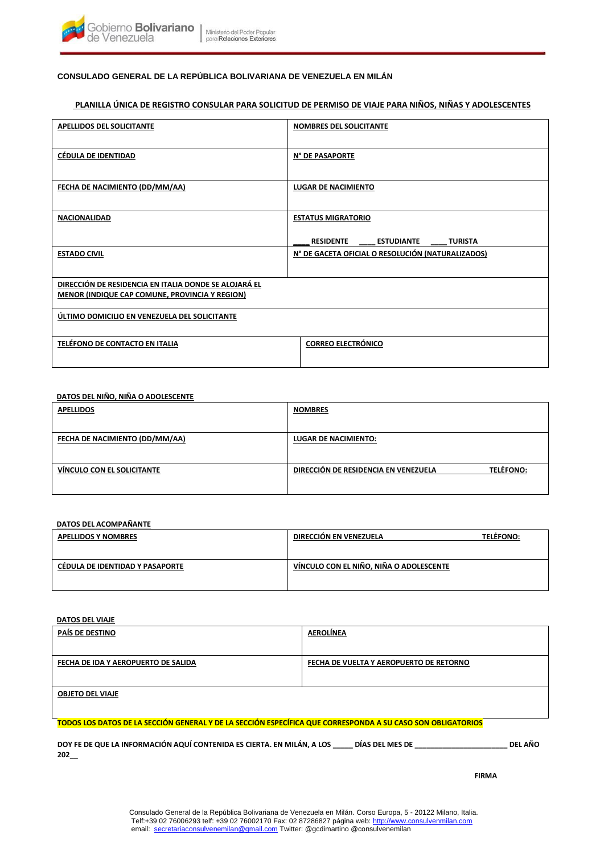

# **CONSULADO GENERAL DE LA REPÚBLICA BOLIVARIANA DE VENEZUELA EN MILÁN**

# **PLANILLA ÚNICA DE REGISTRO CONSULAR PARA SOLICITUD DE PERMISO DE VIAJE PARA NIÑOS, NIÑAS Y ADOLESCENTES**

| <b>APELLIDOS DEL SOLICITANTE</b>                      | <b>NOMBRES DEL SOLICITANTE</b>                    |
|-------------------------------------------------------|---------------------------------------------------|
|                                                       |                                                   |
|                                                       |                                                   |
| <b>CÉDULA DE IDENTIDAD</b>                            | N° DE PASAPORTE                                   |
|                                                       |                                                   |
|                                                       |                                                   |
| <b>FECHA DE NACIMIENTO (DD/MM/AA)</b>                 | <b>LUGAR DE NACIMIENTO</b>                        |
|                                                       |                                                   |
| <b>NACIONALIDAD</b>                                   | <b>ESTATUS MIGRATORIO</b>                         |
|                                                       |                                                   |
|                                                       | <b>RESIDENTE</b><br>ESTUDIANTE TURISTA            |
| <b>ESTADO CIVIL</b>                                   | N° DE GACETA OFICIAL O RESOLUCIÓN (NATURALIZADOS) |
|                                                       |                                                   |
|                                                       |                                                   |
| DIRECCIÓN DE RESIDENCIA EN ITALIA DONDE SE ALOJARÁ EL |                                                   |
| MENOR (INDIQUE CAP COMUNE, PROVINCIA Y REGION)        |                                                   |
|                                                       |                                                   |
| ÚLTIMO DOMICILIO EN VENEZUELA DEL SOLICITANTE         |                                                   |
|                                                       |                                                   |
| TELÉFONO DE CONTACTO EN ITALIA                        | <b>CORREO ELECTRÓNICO</b>                         |
|                                                       |                                                   |
|                                                       |                                                   |

## **DATOS DEL NIÑO, NIÑA O ADOLESCENTE**

| <b>APELLIDOS</b>               | <b>NOMBRES</b>                                           |
|--------------------------------|----------------------------------------------------------|
|                                |                                                          |
| FECHA DE NACIMIENTO (DD/MM/AA) | <b>LUGAR DE NACIMIENTO:</b>                              |
|                                |                                                          |
| VÍNCULO CON EL SOLICITANTE     | <b>TELĖFONO:</b><br>DIRECCIÓN DE RESIDENCIA EN VENEZUELA |
|                                |                                                          |
|                                |                                                          |

## **DATOS DEL ACOMPAÑANTE**

| <b>APELLIDOS Y NOMBRES</b>      | DIRECCIÓN EN VENEZUELA                  | <b>TELEFONO:</b> |
|---------------------------------|-----------------------------------------|------------------|
| CÉDULA DE IDENTIDAD Y PASAPORTE | VÍNCULO CON EL NIÑO, NIÑA O ADOLESCENTE |                  |

#### **DATOS DEL VIAJE**

| PAÍS DE DESTINO                                                                                             | <b>AEROLÍNEA</b>                        |         |
|-------------------------------------------------------------------------------------------------------------|-----------------------------------------|---------|
| FECHA DE IDA Y AEROPUERTO DE SALIDA                                                                         | FECHA DE VUELTA Y AEROPUERTO DE RETORNO |         |
| <b>OBJETO DEL VIAJE</b>                                                                                     |                                         |         |
| TODOS LOS DATOS DE LA SECCIÓN GENERAL Y DE LA SECCIÓN ESPECÍFICA QUE CORRESPONDA A SU CASO SON OBLIGATORIOS |                                         |         |
| DOY FE DE QUE LA INFORMACIÓN AQUÍ CONTENIDA ES CIERTA. EN MILÁN, A LOS DÍAS DEL MES DE<br>202               |                                         | DEL AÑO |

**FIRMA**